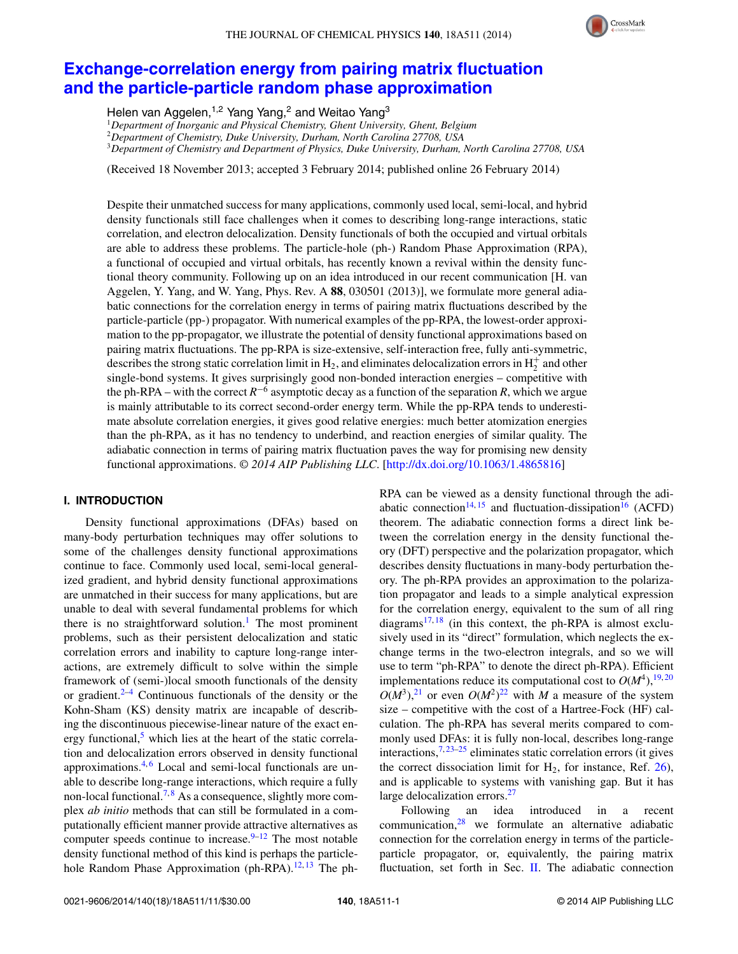

# **[Exchange-correlation energy from pairing matrix fluctuation](http://dx.doi.org/10.1063/1.4865816) [and the particle-particle random phase approximation](http://dx.doi.org/10.1063/1.4865816)**

Helen van Aggelen,<sup>1,2</sup> Yang Yang,<sup>2</sup> and Weitao Yang<sup>3</sup>

<sup>1</sup>*Department of Inorganic and Physical Chemistry, Ghent University, Ghent, Belgium*

<sup>2</sup>*Department of Chemistry, Duke University, Durham, North Carolina 27708, USA*

<sup>3</sup>*Department of Chemistry and Department of Physics, Duke University, Durham, North Carolina 27708, USA*

(Received 18 November 2013; accepted 3 February 2014; published online 26 February 2014)

Despite their unmatched success for many applications, commonly used local, semi-local, and hybrid density functionals still face challenges when it comes to describing long-range interactions, static correlation, and electron delocalization. Density functionals of both the occupied and virtual orbitals are able to address these problems. The particle-hole (ph-) Random Phase Approximation (RPA), a functional of occupied and virtual orbitals, has recently known a revival within the density functional theory community. Following up on an idea introduced in our recent communication [H. van Aggelen, Y. Yang, and W. Yang, Phys. Rev. A **88**, 030501 (2013)], we formulate more general adiabatic connections for the correlation energy in terms of pairing matrix fluctuations described by the particle-particle (pp-) propagator. With numerical examples of the pp-RPA, the lowest-order approximation to the pp-propagator, we illustrate the potential of density functional approximations based on pairing matrix fluctuations. The pp-RPA is size-extensive, self-interaction free, fully anti-symmetric, describes the strong static correlation limit in  $H_2$ , and eliminates delocalization errors in  $H_2^+$  and other single-bond systems. It gives surprisingly good non-bonded interaction energies – competitive with the ph-RPA – with the correct  $R^{-6}$  asymptotic decay as a function of the separation *R*, which we argue is mainly attributable to its correct second-order energy term. While the pp-RPA tends to underestimate absolute correlation energies, it gives good relative energies: much better atomization energies than the ph-RPA, as it has no tendency to underbind, and reaction energies of similar quality. The adiabatic connection in terms of pairing matrix fluctuation paves the way for promising new density functional approximations. *© 2014 AIP Publishing LLC*. [\[http://dx.doi.org/10.1063/1.4865816\]](http://dx.doi.org/10.1063/1.4865816)

# **I. INTRODUCTION**

Density functional approximations (DFAs) based on many-body perturbation techniques may offer solutions to some of the challenges density functional approximations continue to face. Commonly used local, semi-local generalized gradient, and hybrid density functional approximations are unmatched in their success for many applications, but are unable to deal with several fundamental problems for which there is no straightforward solution.<sup>[1](#page-10-0)</sup> The most prominent problems, such as their persistent delocalization and static correlation errors and inability to capture long-range interactions, are extremely difficult to solve within the simple framework of (semi-)local smooth functionals of the density or gradient. $2-4$  $2-4$  Continuous functionals of the density or the Kohn-Sham (KS) density matrix are incapable of describing the discontinuous piecewise-linear nature of the exact energy functional, $<sup>5</sup>$  $<sup>5</sup>$  $<sup>5</sup>$  which lies at the heart of the static correla-</sup> tion and delocalization errors observed in density functional approximations. $4,6$  $4,6$  Local and semi-local functionals are unable to describe long-range interactions, which require a fully non-local functional.<sup>[7,](#page-10-5)[8](#page-10-6)</sup> As a consequence, slightly more complex *ab initio* methods that can still be formulated in a computationally efficient manner provide attractive alternatives as computer speeds continue to increase. $9-12$  $9-12$  The most notable density functional method of this kind is perhaps the particle-hole Random Phase Approximation (ph-RPA).<sup>12, [13](#page-10-9)</sup> The phRPA can be viewed as a density functional through the adi-abatic connection<sup>14, [15](#page-10-11)</sup> and fluctuation-dissipation<sup>16</sup> (ACFD) theorem. The adiabatic connection forms a direct link between the correlation energy in the density functional theory (DFT) perspective and the polarization propagator, which describes density fluctuations in many-body perturbation theory. The ph-RPA provides an approximation to the polarization propagator and leads to a simple analytical expression for the correlation energy, equivalent to the sum of all ring diagrams $17,18$  $17,18$  (in this context, the ph-RPA is almost exclusively used in its "direct" formulation, which neglects the exchange terms in the two-electron integrals, and so we will use to term "ph-RPA" to denote the direct ph-RPA). Efficient implementations reduce its computational cost to  $O(M^4)$ ,  $\frac{19,20}{20}$  $\frac{19,20}{20}$  $\frac{19,20}{20}$  $O(M^3)$ ,<sup>21</sup> or even  $O(M^2)$ <sup>[22](#page-10-18)</sup> with *M* a measure of the system size – competitive with the cost of a Hartree-Fock (HF) calculation. The ph-RPA has several merits compared to commonly used DFAs: it is fully non-local, describes long-range interactions,  $7, 23-25$  $7, 23-25$  $7, 23-25$  eliminates static correlation errors (it gives the correct dissociation limit for  $H_2$ , for instance, Ref. [26\)](#page-10-21), and is applicable to systems with vanishing gap. But it has large delocalization errors.<sup>27</sup>

Following an idea introduced in a recent communication, $28$  we formulate an alternative adiabatic connection for the correlation energy in terms of the particleparticle propagator, or, equivalently, the pairing matrix fluctuation, set forth in Sec. [II.](#page-1-0) The adiabatic connection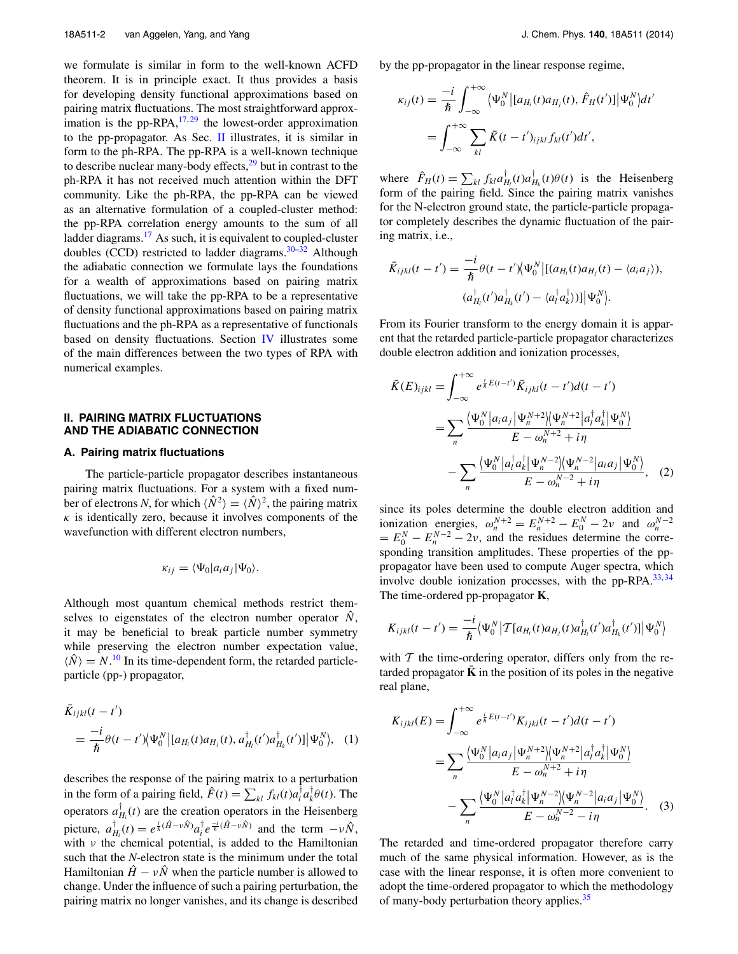we formulate is similar in form to the well-known ACFD theorem. It is in principle exact. It thus provides a basis for developing density functional approximations based on pairing matrix fluctuations. The most straightforward approximation is the pp-RPA,  $^{17,29}$  $^{17,29}$  $^{17,29}$  $^{17,29}$  the lowest-order approximation to the pp-propagator. As Sec. [II](#page-1-0) illustrates, it is similar in form to the ph-RPA. The pp-RPA is a well-known technique to describe nuclear many-body effects, $29$  but in contrast to the ph-RPA it has not received much attention within the DFT community. Like the ph-RPA, the pp-RPA can be viewed as an alternative formulation of a coupled-cluster method: the pp-RPA correlation energy amounts to the sum of all ladder diagrams.<sup>[17](#page-10-13)</sup> As such, it is equivalent to coupled-cluster doubles (CCD) restricted to ladder diagrams. $30-32$  Although the adiabatic connection we formulate lays the foundations for a wealth of approximations based on pairing matrix fluctuations, we will take the pp-RPA to be a representative of density functional approximations based on pairing matrix fluctuations and the ph-RPA as a representative of functionals based on density fluctuations. Section [IV](#page-7-0) illustrates some of the main differences between the two types of RPA with numerical examples.

## <span id="page-1-0"></span>**II. PAIRING MATRIX FLUCTUATIONS AND THE ADIABATIC CONNECTION**

### **A. Pairing matrix fluctuations**

The particle-particle propagator describes instantaneous pairing matrix fluctuations. For a system with a fixed number of electrons *N*, for which  $\langle \hat{N}^2 \rangle = \langle \hat{N} \rangle^2$ , the pairing matrix  $\kappa$  is identically zero, because it involves components of the wavefunction with different electron numbers,

$$
\kappa_{ij} = \langle \Psi_0 | a_i a_j | \Psi_0 \rangle.
$$

Although most quantum chemical methods restrict themselves to eigenstates of the electron number operator  $\hat{N}$ , it may be beneficial to break particle number symmetry while preserving the electron number expectation value,  $\langle \hat{N} \rangle = N$ .<sup>[10](#page-10-27)</sup> In its time-dependent form, the retarded particleparticle (pp-) propagator,

$$
\bar{K}_{ijkl}(t - t') = \frac{-i}{\hbar} \theta(t - t') \langle \Psi_0^N | [a_{H_i}(t)a_{H_j}(t), a_{H_i}^{\dagger}(t')a_{H_k}^{\dagger}(t')] | \Psi_0^N \rangle, \quad (1)
$$

describes the response of the pairing matrix to a perturbation in the form of a pairing field,  $\hat{F}(t) = \sum_{kl} f_{kl}(t) a_l^{\dagger} a_k^{\dagger} \theta(t)$ . The operators  $a_{H_i}^{\dagger}(t)$  are the creation operators in the Heisenberg picture,  $a_{H_i}^{\dagger}(t) = e^{\frac{i}{\hbar}(\hat{H} - v\hat{N})}a_i^{\dagger}e^{\frac{-i}{\hbar}(\hat{H} - v\hat{N})}$  and the term  $-v\hat{N}$ , with *ν* the chemical potential, is added to the Hamiltonian such that the *N*-electron state is the minimum under the total Hamiltonian  $\hat{H} - v\hat{N}$  when the particle number is allowed to change. Under the influence of such a pairing perturbation, the pairing matrix no longer vanishes, and its change is described by the pp-propagator in the linear response regime,

$$
\kappa_{ij}(t) = \frac{-i}{\hbar} \int_{-\infty}^{+\infty} \langle \Psi_0^N | [a_{H_i}(t) a_{H_j}(t), \hat{F}_H(t')] | \Psi_0^N \rangle dt'
$$
  
= 
$$
\int_{-\infty}^{+\infty} \sum_{kl} \bar{K}(t - t')_{ijkl} f_{kl}(t') dt',
$$

where  $\hat{F}_H(t) = \sum_{kl} f_{kl} a_{H_l}^{\dagger}(t) a_{H_k}^{\dagger}(t) \theta(t)$  is the Heisenberg form of the pairing field. Since the pairing matrix vanishes for the N-electron ground state, the particle-particle propagator completely describes the dynamic fluctuation of the pairing matrix, i.e.,

$$
\bar{K}_{ijkl}(t-t') = \frac{-i}{\hbar} \theta(t-t') \langle \Psi_0^N | [(a_{H_i}(t)a_{H_j}(t) - \langle a_i a_j \rangle),
$$

$$
(a_{H_i}^{\dagger}(t')a_{H_k}^{\dagger}(t') - \langle a_i^{\dagger} a_k^{\dagger} \rangle)] |\Psi_0^N \rangle.
$$

From its Fourier transform to the energy domain it is apparent that the retarded particle-particle propagator characterizes double electron addition and ionization processes,

$$
\bar{K}(E)_{ijkl} = \int_{-\infty}^{+\infty} e^{\frac{i}{\hbar}E(t-t')} \bar{K}_{ijkl}(t-t')d(t-t')
$$
\n
$$
= \sum_{n} \frac{\langle \Psi_0^N | a_i a_j | \Psi_n^{N+2} \rangle \langle \Psi_n^{N+2} | a_i^{\dagger} a_k^{\dagger} | \Psi_0^{N} \rangle}{E - \omega_n^{N+2} + i\eta}
$$
\n
$$
- \sum_{n} \frac{\langle \Psi_0^N | a_i^{\dagger} a_k^{\dagger} | \Psi_n^{N-2} \rangle \langle \Psi_n^{N-2} | a_i a_j | \Psi_0^{N} \rangle}{E - \omega_n^{N-2} + i\eta}, \quad (2)
$$

since its poles determine the double electron addition and  $i$ onization energies,  $\omega_n^{N+2} = E_n^{N+2} - E_0^N - 2\nu$  and  $\omega_n^{N-2}$  $E_0^N - E_n^{N-2} - 2\nu$ , and the residues determine the corresponding transition amplitudes. These properties of the pppropagator have been used to compute Auger spectra, which involve double ionization processes, with the pp-RPA. $^{33,34}$  $^{33,34}$  $^{33,34}$ The time-ordered pp-propagator **K**,

$$
K_{ijkl}(t-t') = \frac{-i}{\hbar} \langle \Psi_0^N | T[a_{H_i}(t)a_{H_j}(t)a_{H_l}^{\dagger}(t')a_{H_k}^{\dagger}(t')] | \Psi_0^N \rangle
$$

with  $T$  the time-ordering operator, differs only from the retarded propagator  $\bar{\mathbf{K}}$  in the position of its poles in the negative real plane,

<span id="page-1-1"></span>
$$
K_{ijkl}(E) = \int_{-\infty}^{+\infty} e^{\frac{i}{\hbar}E(t-t')} K_{ijkl}(t-t')d(t-t')
$$
  
= 
$$
\sum_{n} \frac{\langle \Psi_0^N | a_i a_j | \Psi_n^{N+2} \rangle \langle \Psi_n^{N+2} | a_i^{\dagger} a_k^{\dagger} | \Psi_0^N \rangle}{E - \omega_n^{N+2} + i\eta}
$$
  
- 
$$
\sum_{n} \frac{\langle \Psi_0^N | a_i^{\dagger} a_k^{\dagger} | \Psi_n^{N-2} \rangle \langle \Psi_n^{N-2} | a_i a_j | \Psi_0^N \rangle}{E - \omega_n^{N-2} - i\eta}.
$$
 (3)

The retarded and time-ordered propagator therefore carry much of the same physical information. However, as is the case with the linear response, it is often more convenient to adopt the time-ordered propagator to which the methodology of many-body perturbation theory applies.<sup>[35](#page-10-30)</sup>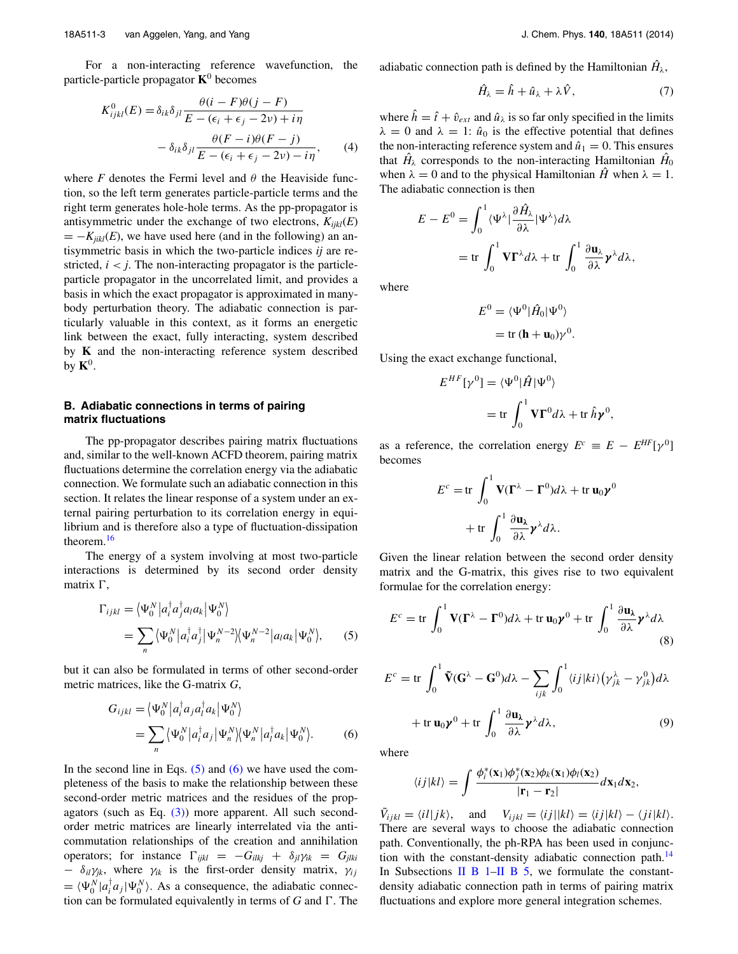For a non-interacting reference wavefunction, the particle-particle propagator **K**<sup>0</sup> becomes

$$
K_{ijkl}^0(E) = \delta_{ik}\delta_{jl} \frac{\theta(i - F)\theta(j - F)}{E - (\epsilon_i + \epsilon_j - 2\nu) + i\eta} - \delta_{ik}\delta_{jl} \frac{\theta(F - i)\theta(F - j)}{E - (\epsilon_i + \epsilon_j - 2\nu) - i\eta},
$$
 (4)

where  $F$  denotes the Fermi level and  $\theta$  the Heaviside function, so the left term generates particle-particle terms and the right term generates hole-hole terms. As the pp-propagator is antisymmetric under the exchange of two electrons,  $K_{ijkl}(E)$  $= -K_{ijkl}(E)$ , we have used here (and in the following) an antisymmetric basis in which the two-particle indices *ij* are restricted,  $i < j$ . The non-interacting propagator is the particleparticle propagator in the uncorrelated limit, and provides a basis in which the exact propagator is approximated in manybody perturbation theory. The adiabatic connection is particularly valuable in this context, as it forms an energetic link between the exact, fully interacting, system described by **K** and the non-interacting reference system described by  $K^0$ .

## **B. Adiabatic connections in terms of pairing matrix fluctuations**

The pp-propagator describes pairing matrix fluctuations and, similar to the well-known ACFD theorem, pairing matrix fluctuations determine the correlation energy via the adiabatic connection. We formulate such an adiabatic connection in this section. It relates the linear response of a system under an external pairing perturbation to its correlation energy in equilibrium and is therefore also a type of fluctuation-dissipation theorem.[16](#page-10-12)

The energy of a system involving at most two-particle interactions is determined by its second order density matrix ,

$$
\Gamma_{ijkl} = \langle \Psi_0^N | a_i^\dagger a_j^\dagger a_i a_k | \Psi_0^N \rangle
$$
  
= 
$$
\sum_n \langle \Psi_0^N | a_i^\dagger a_j^\dagger | \Psi_n^{N-2} \rangle \langle \Psi_n^{N-2} | a_i a_k | \Psi_0^N \rangle,
$$
 (5)

but it can also be formulated in terms of other second-order metric matrices, like the G-matrix *G*,

$$
G_{ijkl} = \langle \Psi_0^N | a_i^\dagger a_j a_i^\dagger a_k | \Psi_0^N \rangle
$$
  
= 
$$
\sum_n \langle \Psi_0^N | a_i^\dagger a_j | \Psi_n^N \rangle \langle \Psi_n^N | a_i^\dagger a_k | \Psi_0^N \rangle.
$$
 (6)

In the second line in Eqs.  $(5)$  and  $(6)$  we have used the completeness of the basis to make the relationship between these second-order metric matrices and the residues of the propagators (such as Eq.  $(3)$ ) more apparent. All such secondorder metric matrices are linearly interrelated via the anticommutation relationships of the creation and annihilation operators; for instance  $\Gamma_{ijkl} = -G_{ilkj} + \delta_{jl}\gamma_{ik} = G_{jlkj}$  $\delta_{il}\gamma_{jk}$ , where  $\gamma_{ik}$  is the first-order density matrix,  $\gamma_{ij}$  $= \langle \Psi_0^N | a_i^{\dagger} a_j | \Psi_0^N \rangle$ . As a consequence, the adiabatic connection can be formulated equivalently in terms of *G* and . The adiabatic connection path is defined by the Hamiltonian  $\hat{H}_{\lambda}$ ,

<span id="page-2-4"></span>
$$
\hat{H}_{\lambda} = \hat{h} + \hat{u}_{\lambda} + \lambda \hat{V}, \tag{7}
$$

<span id="page-2-5"></span>where  $\hat{h} = \hat{t} + \hat{v}_{ext}$  and  $\hat{u}_{\lambda}$  is so far only specified in the limits  $\lambda = 0$  and  $\lambda = 1$ :  $\hat{u}_0$  is the effective potential that defines the non-interacting reference system and  $\hat{u}_1 = 0$ . This ensures that  $\hat{H}_{\lambda}$  corresponds to the non-interacting Hamiltonian  $\hat{H}_0$ when  $\lambda = 0$  and to the physical Hamiltonian  $\hat{H}$  when  $\lambda = 1$ . The adiabatic connection is then

$$
E - E^{0} = \int_{0}^{1} \langle \Psi^{\lambda} | \frac{\partial \hat{H}_{\lambda}}{\partial \lambda} | \Psi^{\lambda} \rangle d\lambda
$$
  
= tr  $\int_{0}^{1} \mathbf{V} \mathbf{\Gamma}^{\lambda} d\lambda + tr \int_{0}^{1} \frac{\partial \mathbf{u}_{\lambda}}{\partial \lambda} \mathbf{y}^{\lambda} d\lambda,$ 

where

$$
E^{0} = \langle \Psi^{0} | \hat{H}_{0} | \Psi^{0} \rangle
$$
  
= tr (h + u<sub>0</sub>) $\gamma^{0}$ .

Using the exact exchange functional,

$$
E^{HF}[\gamma^0] = \langle \Psi^0 | \hat{H} | \Psi^0 \rangle
$$
  
= tr  $\int_0^1 \mathbf{V} \mathbf{\Gamma}^0 d\lambda + tr \hat{h} \mathbf{y}^0$ 

<span id="page-2-2"></span>*,*

as a reference, the correlation energy  $E^c \equiv E - E^{HF}[\gamma^0]$ becomes

$$
E^{c} = \text{tr} \int_{0}^{1} \mathbf{V} (\mathbf{\Gamma}^{\lambda} - \mathbf{\Gamma}^{0}) d\lambda + \text{tr} \mathbf{u}_{0} \boldsymbol{\gamma}^{0}
$$

$$
+ \text{tr} \int_{0}^{1} \frac{\partial \mathbf{u}_{\lambda}}{\partial \lambda} \boldsymbol{\gamma}^{\lambda} d\lambda.
$$

Given the linear relation between the second order density matrix and the G-matrix, this gives rise to two equivalent formulae for the correlation energy:

<span id="page-2-0"></span>
$$
E^{c} = \text{tr} \int_{0}^{1} \mathbf{V} (\mathbf{\Gamma}^{\lambda} - \mathbf{\Gamma}^{0}) d\lambda + \text{tr} \mathbf{u}_{0} \boldsymbol{\gamma}^{0} + \text{tr} \int_{0}^{1} \frac{\partial \mathbf{u}_{\lambda}}{\partial \lambda} \boldsymbol{\gamma}^{\lambda} d\lambda
$$
\n(8)

$$
E^{c} = \text{tr} \int_{0}^{1} \tilde{\mathbf{V}}(\mathbf{G}^{\lambda} - \mathbf{G}^{0}) d\lambda - \sum_{ijk} \int_{0}^{1} \langle ij|k i \rangle (\gamma_{jk}^{\lambda} - \gamma_{jk}^{0}) d\lambda
$$

$$
+ \text{tr} \mathbf{u}_{0} \mathbf{y}^{0} + \text{tr} \int_{0}^{1} \frac{\partial \mathbf{u}_{\lambda}}{\partial \lambda} \mathbf{y}^{\lambda} d\lambda, \qquad (9)
$$

<span id="page-2-1"></span>where

<span id="page-2-3"></span>
$$
\langle i j | k l \rangle = \int \frac{\phi_i^*(\mathbf{x}_1) \phi_j^*(\mathbf{x}_2) \phi_k(\mathbf{x}_1) \phi_l(\mathbf{x}_2)}{|\mathbf{r}_1 - \mathbf{r}_2|} d\mathbf{x}_1 d\mathbf{x}_2,
$$

 $\tilde{V}_{ijkl} = \langle iI | jk \rangle$ , and  $V_{ijkl} = \langle ij | kl \rangle = \langle ijkl \rangle - \langle ji|kl \rangle$ . There are several ways to choose the adiabatic connection path. Conventionally, the ph-RPA has been used in conjunction with the constant-density adiabatic connection path.<sup>14</sup> In Subsections II B  $1$ [–II B 5,](#page-4-0) we formulate the constantdensity adiabatic connection path in terms of pairing matrix fluctuations and explore more general integration schemes.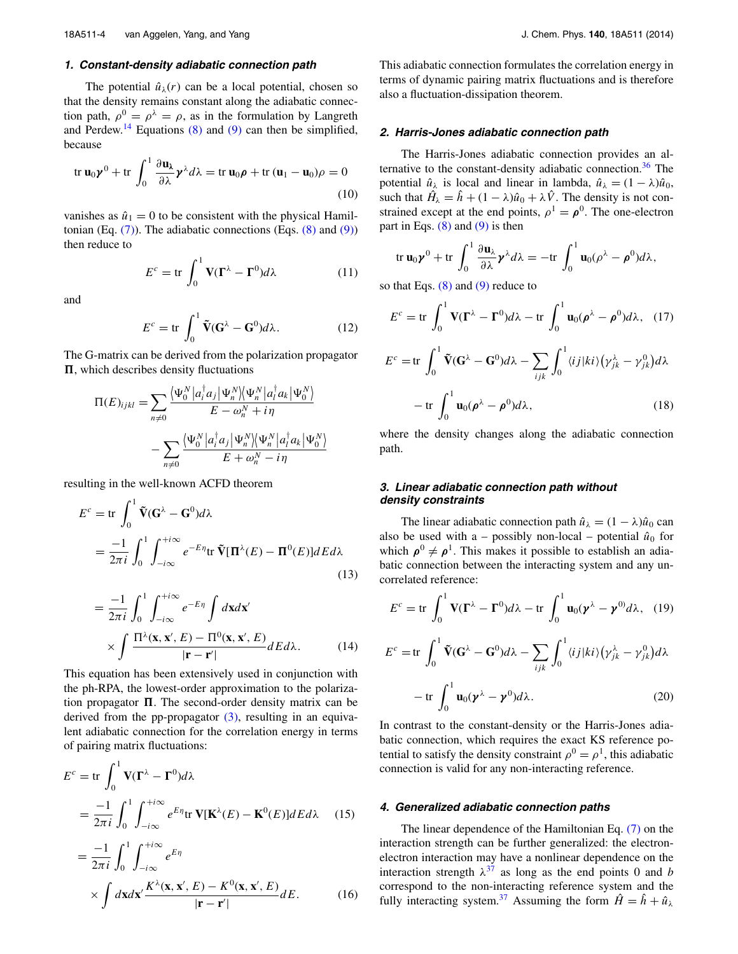## <span id="page-3-0"></span>**1. Constant-density adiabatic connection path**

The potential  $\hat{u}_{\lambda}(r)$  can be a local potential, chosen so that the density remains constant along the adiabatic connection path,  $\rho^0 = \rho^{\lambda} = \rho$ , as in the formulation by Langreth and Perdew.<sup>14</sup> Equations [\(8\)](#page-2-2) and [\(9\)](#page-2-3) can then be simplified, because

$$
\operatorname{tr} \mathbf{u}_0 \boldsymbol{\gamma}^0 + \operatorname{tr} \int_0^1 \frac{\partial \mathbf{u}_\lambda}{\partial \lambda} \boldsymbol{\gamma}^\lambda d\lambda = \operatorname{tr} \mathbf{u}_0 \boldsymbol{\rho} + \operatorname{tr} (\mathbf{u}_1 - \mathbf{u}_0) \rho = 0
$$
\n(10)

vanishes as  $\hat{u}_1 = 0$  to be consistent with the physical Hamiltonian (Eq.  $(7)$ ). The adiabatic connections (Eqs.  $(8)$  and  $(9)$ ) then reduce to

$$
E^{c} = \text{tr} \int_{0}^{1} \mathbf{V} (\mathbf{\Gamma}^{\lambda} - \mathbf{\Gamma}^{0}) d\lambda
$$
 (11)

and

$$
E^{c} = \text{tr} \int_{0}^{1} \tilde{\mathbf{V}}(\mathbf{G}^{\lambda} - \mathbf{G}^{0}) d\lambda.
$$
 (12)

The G-matrix can be derived from the polarization propagator  $\Pi$ , which describes density fluctuations

$$
\Pi(E)_{ijkl} = \sum_{n \neq 0} \frac{\langle \Psi_0^N | a_i^\dagger a_j | \Psi_n^N \rangle \langle \Psi_n^N | a_i^\dagger a_k | \Psi_0^N \rangle}{E - \omega_n^N + i\eta} - \sum_{n \neq 0} \frac{\langle \Psi_0^N | a_i^\dagger a_j | \Psi_n^N \rangle \langle \Psi_n^N | a_i^\dagger a_k | \Psi_0^N \rangle}{E + \omega_n^N - i\eta}
$$

resulting in the well-known ACFD theorem

$$
E^{c} = \text{tr} \int_{0}^{1} \tilde{\mathbf{V}}(\mathbf{G}^{\lambda} - \mathbf{G}^{0}) d\lambda
$$
  
= 
$$
\frac{-1}{2\pi i} \int_{0}^{1} \int_{-i\infty}^{+i\infty} e^{-E\eta} \text{tr} \, \tilde{\mathbf{V}}[\mathbf{\Pi}^{\lambda}(E) - \mathbf{\Pi}^{0}(E)] dE d\lambda
$$
 (13)

<span id="page-3-4"></span>
$$
= \frac{-1}{2\pi i} \int_0^1 \int_{-i\infty}^{+i\infty} e^{-E\eta} \int d\mathbf{x} d\mathbf{x}'
$$

$$
\times \int \frac{\Pi^{\lambda}(\mathbf{x}, \mathbf{x}', E) - \Pi^0(\mathbf{x}, \mathbf{x}', E)}{|\mathbf{r} - \mathbf{r}'|} dE d\lambda.
$$
(14)

This equation has been extensively used in conjunction with the ph-RPA, the lowest-order approximation to the polarization propagator  $\Pi$ . The second-order density matrix can be derived from the pp-propagator [\(3\),](#page-1-1) resulting in an equivalent adiabatic connection for the correlation energy in terms of pairing matrix fluctuations:

$$
E^{c} = \text{tr} \int_{0}^{1} \mathbf{V} (\mathbf{\Gamma}^{\lambda} - \mathbf{\Gamma}^{0}) d\lambda
$$
  
= 
$$
\frac{-1}{2\pi i} \int_{0}^{1} \int_{-i\infty}^{+i\infty} e^{E\eta} \text{tr} \mathbf{V} [\mathbf{K}^{\lambda}(E) - \mathbf{K}^{0}(E)] dE d\lambda
$$
 (15)

<span id="page-3-3"></span>
$$
= \frac{-1}{2\pi i} \int_0^1 \int_{-i\infty}^{+i\infty} e^{E\eta}
$$
  
 
$$
\times \int d\mathbf{x} d\mathbf{x}' \frac{K^{\lambda}(\mathbf{x}, \mathbf{x}', E) - K^0(\mathbf{x}, \mathbf{x}', E)}{|\mathbf{r} - \mathbf{r}'|} dE.
$$
 (16)

This adiabatic connection formulates the correlation energy in terms of dynamic pairing matrix fluctuations and is therefore also a fluctuation-dissipation theorem.

#### **2. Harris-Jones adiabatic connection path**

<span id="page-3-1"></span>The Harris-Jones adiabatic connection provides an alternative to the constant-density adiabatic connection. $36$  The potential  $\hat{u}_{\lambda}$  is local and linear in lambda,  $\hat{u}_{\lambda} = (1 - \lambda)\hat{u}_0$ , such that  $\hat{H}_{\lambda} = \hat{h} + (1 - \lambda)\hat{u}_0 + \lambda \hat{V}$ . The density is not constrained except at the end points,  $\rho^1 = \rho^0$ . The one-electron part in Eqs.  $(8)$  and  $(9)$  is then

$$
\operatorname{tr} \mathbf{u}_0 \boldsymbol{\gamma}^0 + \operatorname{tr} \int_0^1 \frac{\partial \mathbf{u}_\lambda}{\partial \lambda} \boldsymbol{\gamma}^\lambda d\lambda = -\operatorname{tr} \int_0^1 \mathbf{u}_0 (\rho^\lambda - \rho^0) d\lambda,
$$

so that Eqs.  $(8)$  and  $(9)$  reduce to

$$
E^{c} = \text{tr} \int_{0}^{1} \mathbf{V} (\mathbf{\Gamma}^{\lambda} - \mathbf{\Gamma}^{0}) d\lambda - \text{tr} \int_{0}^{1} \mathbf{u}_{0} (\boldsymbol{\rho}^{\lambda} - \boldsymbol{\rho}^{0}) d\lambda, (17)
$$
  

$$
E^{c} = \text{tr} \int_{0}^{1} \tilde{\mathbf{V}} (\mathbf{G}^{\lambda} - \mathbf{G}^{0}) d\lambda - \sum_{ijk} \int_{0}^{1} \langle i j | k i \rangle (\gamma_{jk}^{\lambda} - \gamma_{jk}^{0}) d\lambda
$$

$$
- \text{tr} \int_{0}^{1} \mathbf{u}_{0} (\boldsymbol{\rho}^{\lambda} - \boldsymbol{\rho}^{0}) d\lambda, (18)
$$

where the density changes along the adiabatic connection path.

## **3. Linear adiabatic connection path without density constraints**

The linear adiabatic connection path  $\hat{u}_{\lambda} = (1 - \lambda)\hat{u}_0$  can also be used with a – possibly non-local – potential  $\hat{u}_0$  for which  $\rho^0 \neq \rho^1$ . This makes it possible to establish an adiabatic connection between the interacting system and any uncorrelated reference:

<span id="page-3-2"></span>
$$
E^{c} = \text{tr} \int_{0}^{1} \mathbf{V} (\mathbf{\Gamma}^{\lambda} - \mathbf{\Gamma}^{0}) d\lambda - \text{tr} \int_{0}^{1} \mathbf{u}_{0} (\mathbf{y}^{\lambda} - \mathbf{y}^{0}) d\lambda, (19)
$$

$$
E^{c} = \text{tr} \int_{0}^{1} \tilde{\mathbf{V}} (\mathbf{G}^{\lambda} - \mathbf{G}^{0}) d\lambda - \sum_{ijk} \int_{0}^{1} \langle i j | k i \rangle (\gamma_{jk}^{\lambda} - \gamma_{jk}^{0}) d\lambda
$$

$$
- \text{tr} \int_{0}^{1} \mathbf{u}_{0} (\mathbf{y}^{\lambda} - \mathbf{y}^{0}) d\lambda. (20)
$$

In contrast to the constant-density or the Harris-Jones adiabatic connection, which requires the exact KS reference potential to satisfy the density constraint  $\rho^0 = \rho^1$ , this adiabatic connection is valid for any non-interacting reference.

#### **4. Generalized adiabatic connection paths**

The linear dependence of the Hamiltonian Eq. [\(7\)](#page-2-4) on the interaction strength can be further generalized: the electronelectron interaction may have a nonlinear dependence on the interaction strength  $\lambda^{37}$  $\lambda^{37}$  $\lambda^{37}$  as long as the end points 0 and *b* correspond to the non-interacting reference system and the fully interacting system.<sup>37</sup> Assuming the form  $\hat{H} = \hat{h} + \hat{u}_{\lambda}$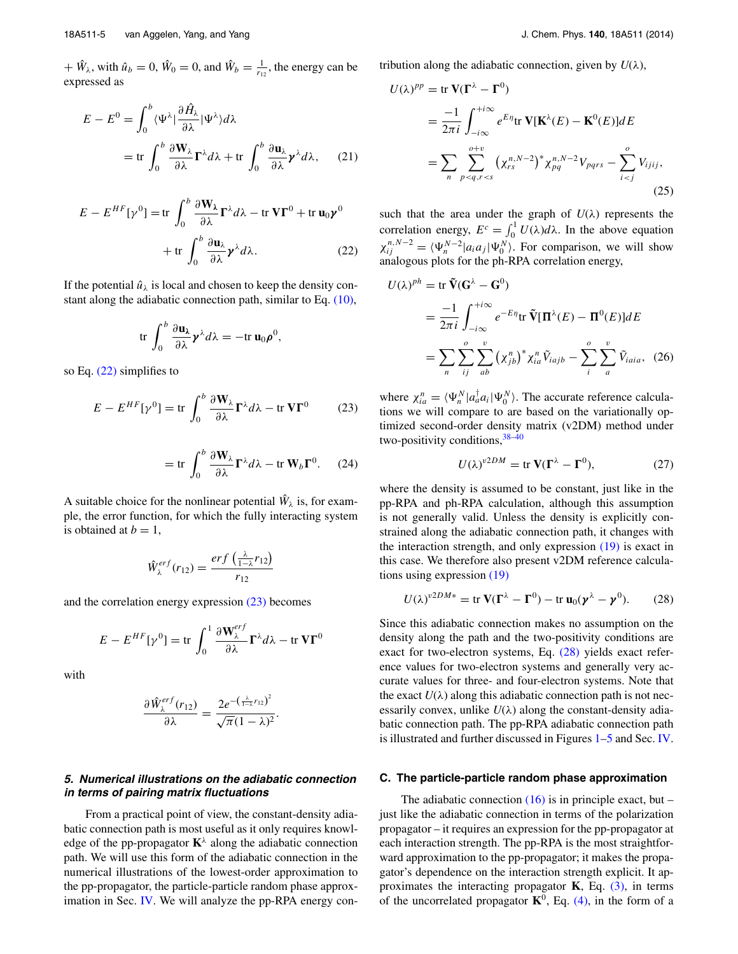$+$   $\hat{W}_\lambda$ , with  $\hat{u}_b = 0$ ,  $\hat{W}_0 = 0$ , and  $\hat{W}_b = \frac{1}{r_{12}}$ , the energy can be expressed as

$$
E - E^{0} = \int_{0}^{b} \langle \Psi^{\lambda} | \frac{\partial \hat{H}_{\lambda}}{\partial \lambda} | \Psi^{\lambda} \rangle d\lambda
$$
  
= tr  $\int_{0}^{b} \frac{\partial \mathbf{W}_{\lambda}}{\partial \lambda} \mathbf{\Gamma}^{\lambda} d\lambda + tr \int_{0}^{b} \frac{\partial \mathbf{u}_{\lambda}}{\partial \lambda} \gamma^{\lambda} d\lambda,$  (21)

$$
E - E^{HF}[\gamma^0] = \text{tr} \int_0^b \frac{\partial \mathbf{W}_{\lambda}}{\partial \lambda} \mathbf{\Gamma}^{\lambda} d\lambda - \text{tr} \, \mathbf{V} \mathbf{\Gamma}^0 + \text{tr} \, \mathbf{u}_0 \mathbf{y}^0
$$

$$
+ \text{tr} \int_0^b \frac{\partial \mathbf{u}_{\lambda}}{\partial \lambda} \mathbf{y}^{\lambda} d\lambda. \tag{22}
$$

If the potential  $\hat{u}_{\lambda}$  is local and chosen to keep the density constant along the adiabatic connection path, similar to Eq. [\(10\),](#page-3-1)

$$
\text{tr}\,\int_0^b\frac{\partial \mathbf{u}_\lambda}{\partial \lambda}\boldsymbol{\gamma}^\lambda d\lambda=-\text{tr}\,\mathbf{u}_0\boldsymbol{\rho}^0,
$$

so Eq. [\(22\)](#page-4-1) simplifies to

$$
E - E^{HF}[\gamma^0] = \text{tr} \int_0^b \frac{\partial \mathbf{W}_{\lambda}}{\partial \lambda} \mathbf{\Gamma}^{\lambda} d\lambda - \text{tr} \mathbf{V} \mathbf{\Gamma}^0 \tag{23}
$$

$$
= \text{tr} \int_0^b \frac{\partial \mathbf{W}_\lambda}{\partial \lambda} \mathbf{\Gamma}^\lambda d\lambda - \text{tr} \mathbf{W}_b \mathbf{\Gamma}^0. \tag{24}
$$

A suitable choice for the nonlinear potential  $\hat{W}_{\lambda}$  is, for example, the error function, for which the fully interacting system is obtained at  $b = 1$ ,

$$
\hat{W}_{\lambda}^{erf}(r_{12}) = \frac{erf\left(\frac{\lambda}{1-\lambda}r_{12}\right)}{r_{12}}
$$

and the correlation energy expression [\(23\)](#page-4-2) becomes

$$
E - E^{HF}[\gamma^0] = \text{tr} \int_0^1 \frac{\partial \mathbf{W}_{\lambda}^{erf}}{\partial \lambda} \mathbf{\Gamma}^{\lambda} d\lambda - \text{tr} \mathbf{V} \mathbf{\Gamma}^0
$$

with

$$
\frac{\partial \hat{W}_{\lambda}^{erf}(r_{12})}{\partial \lambda} = \frac{2e^{-\left(\frac{\lambda}{1-\lambda}r_{12}\right)^2}}{\sqrt{\pi}(1-\lambda)^2}.
$$

## <span id="page-4-0"></span>**5. Numerical illustrations on the adiabatic connection in terms of pairing matrix fluctuations**

From a practical point of view, the constant-density adiabatic connection path is most useful as it only requires knowledge of the pp-propagator  $\mathbf{K}^{\lambda}$  along the adiabatic connection path. We will use this form of the adiabatic connection in the numerical illustrations of the lowest-order approximation to the pp-propagator, the particle-particle random phase approx-imation in Sec. [IV.](#page-7-0) We will analyze the pp-RPA energy contribution along the adiabatic connection, given by  $U(\lambda)$ ,

$$
U(\lambda)^{pp} = \text{tr }\mathbf{V}(\mathbf{\Gamma}^{\lambda} - \mathbf{\Gamma}^{0})
$$
  
= 
$$
\frac{-1}{2\pi i} \int_{-i\infty}^{+i\infty} e^{E\eta} \text{tr }\mathbf{V}[\mathbf{K}^{\lambda}(E) - \mathbf{K}^{0}(E)]dE
$$
  
= 
$$
\sum_{n} \sum_{p < q, r < s}^{o+v} (\chi_{rs}^{n,N-2})^{*} \chi_{pq}^{n,N-2} V_{pqrs} - \sum_{i < j}^{o} V_{ijij},
$$
(25)

<span id="page-4-4"></span><span id="page-4-1"></span>such that the area under the graph of  $U(\lambda)$  represents the correlation energy,  $E^c = \int_0^1 U(\lambda) d\lambda$ . In the above equation  $\chi_{ij}^{n,N-2} = \langle \Psi_n^{N-2} | a_i a_j | \Psi_0^N \rangle$ . For comparison, we will show analogous plots for the ph-RPA correlation energy,

$$
U(\lambda)^{ph} = \text{tr }\tilde{\mathbf{V}}(\mathbf{G}^{\lambda} - \mathbf{G}^{0})
$$
  
= 
$$
\frac{-1}{2\pi i} \int_{-i\infty}^{+i\infty} e^{-E\eta} \text{tr }\tilde{\mathbf{V}}[\mathbf{\Pi}^{\lambda}(E) - \mathbf{\Pi}^{0}(E)]dE
$$
  
= 
$$
\sum_{n} \sum_{ij}^{o} \sum_{ab}^{v} (\chi_{jb}^{n})^{*} \chi_{ia}^{n} \tilde{V}_{iajb} - \sum_{i}^{o} \sum_{a}^{v} \tilde{V}_{iaia}, (26)
$$

<span id="page-4-2"></span>where  $\chi_{ia}^n = \langle \Psi_n^N | a_a^\dagger a_i | \Psi_0^N \rangle$ . The accurate reference calculations we will compare to are based on the variationally optimized second-order density matrix (v2DM) method under two-positivity conditions,  $38-40$  $38-40$ 

<span id="page-4-5"></span><span id="page-4-3"></span>
$$
U(\lambda)^{v2DM} = \text{tr}\,\mathbf{V}(\Gamma^{\lambda} - \Gamma^0),\tag{27}
$$

where the density is assumed to be constant, just like in the pp-RPA and ph-RPA calculation, although this assumption is not generally valid. Unless the density is explicitly constrained along the adiabatic connection path, it changes with the interaction strength, and only expression [\(19\)](#page-3-2) is exact in this case. We therefore also present v2DM reference calculations using expression [\(19\)](#page-3-2)

$$
U(\lambda)^{v2DM*} = \text{tr}\,\mathbf{V}(\mathbf{\Gamma}^{\lambda} - \mathbf{\Gamma}^0) - \text{tr}\,\mathbf{u}_0(\boldsymbol{\gamma}^{\lambda} - \boldsymbol{\gamma}^0). \tag{28}
$$

Since this adiabatic connection makes no assumption on the density along the path and the two-positivity conditions are exact for two-electron systems, Eq. [\(28\)](#page-4-3) yields exact reference values for two-electron systems and generally very accurate values for three- and four-electron systems. Note that the exact  $U(\lambda)$  along this adiabatic connection path is not necessarily convex, unlike  $U(\lambda)$  along the constant-density adiabatic connection path. The pp-RPA adiabatic connection path is illustrated and further discussed in Figures [1](#page-5-0)[–5](#page-6-0) and Sec. [IV.](#page-7-0)

#### **C. The particle-particle random phase approximation**

The adiabatic connection  $(16)$  is in principle exact, but – just like the adiabatic connection in terms of the polarization propagator – it requires an expression for the pp-propagator at each interaction strength. The pp-RPA is the most straightforward approximation to the pp-propagator; it makes the propagator's dependence on the interaction strength explicit. It approximates the interacting propagator  $\bf{K}$ , Eq.  $(3)$ , in terms of the uncorrelated propagator  $K^0$ , Eq. [\(4\),](#page-2-5) in the form of a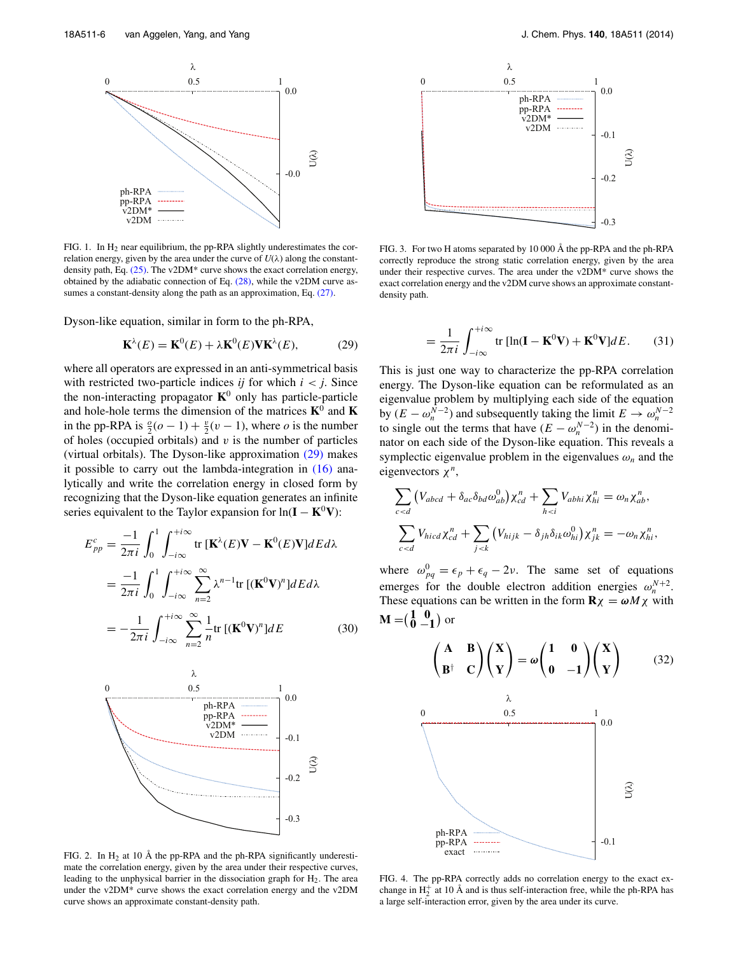<span id="page-5-0"></span>

FIG. 1. In  $H_2$  near equilibrium, the pp-RPA slightly underestimates the correlation energy, given by the area under the curve of  $U(\lambda)$  along the constant-density path, Eq. [\(25\).](#page-4-4) The v2DM<sup>\*</sup> curve shows the exact correlation energy, obtained by the adiabatic connection of Eq.  $(28)$ , while the v2DM curve assumes a constant-density along the path as an approximation, Eq.  $(27)$ .

Dyson-like equation, similar in form to the ph-RPA,

$$
\mathbf{K}^{\lambda}(E) = \mathbf{K}^{0}(E) + \lambda \mathbf{K}^{0}(E) \mathbf{V} \mathbf{K}^{\lambda}(E), \tag{29}
$$

where all operators are expressed in an anti-symmetrical basis with restricted two-particle indices *ij* for which  $i < j$ . Since the non-interacting propagator  $K^0$  only has particle-particle and hole-hole terms the dimension of the matrices  $K^0$  and  $K$ in the pp-RPA is  $\frac{\partial}{\partial}(\rho - 1) + \frac{\partial}{\partial}(\nu - 1)$ , where  $\rho$  is the number of holes (occupied orbitals) and *v* is the number of particles (virtual orbitals). The Dyson-like approximation [\(29\)](#page-5-1) makes it possible to carry out the lambda-integration in [\(16\)](#page-3-3) analytically and write the correlation energy in closed form by recognizing that the Dyson-like equation generates an infinite series equivalent to the Taylor expansion for  $ln(I - K^0V)$ :

$$
E_{pp}^{c} = \frac{-1}{2\pi i} \int_{0}^{1} \int_{-i\infty}^{+i\infty} \text{tr} \left[\mathbf{K}^{\lambda}(E)\mathbf{V} - \mathbf{K}^{0}(E)\mathbf{V}\right] dE d\lambda
$$
  

$$
= \frac{-1}{2\pi i} \int_{0}^{1} \int_{-i\infty}^{+i\infty} \sum_{n=2}^{\infty} \lambda^{n-1} \text{tr} \left[ (\mathbf{K}^{0}\mathbf{V})^{n} \right] dE d\lambda
$$
  

$$
= -\frac{1}{2\pi i} \int_{-i\infty}^{+i\infty} \sum_{n=2}^{\infty} \frac{1}{n} \text{tr} \left[ (\mathbf{K}^{0}\mathbf{V})^{n} \right] dE \qquad (30)
$$



FIG. 2. In  $H_2$  at 10 Å the pp-RPA and the ph-RPA significantly underestimate the correlation energy, given by the area under their respective curves, leading to the unphysical barrier in the dissociation graph for  $H<sub>2</sub>$ . The area under the v2DM\* curve shows the exact correlation energy and the v2DM curve shows an approximate constant-density path.

<span id="page-5-5"></span>

FIG. 3. For two H atoms separated by 10 000 Å the pp-RPA and the ph-RPA correctly reproduce the strong static correlation energy, given by the area under their respective curves. The area under the v2DM\* curve shows the exact correlation energy and the v2DM curve shows an approximate constantdensity path.

<span id="page-5-2"></span>
$$
= \frac{1}{2\pi i} \int_{-i\infty}^{+i\infty} \text{tr} \left[ \ln(\mathbf{I} - \mathbf{K}^0 \mathbf{V}) + \mathbf{K}^0 \mathbf{V} \right] dE. \tag{31}
$$

<span id="page-5-1"></span>This is just one way to characterize the pp-RPA correlation energy. The Dyson-like equation can be reformulated as an eigenvalue problem by multiplying each side of the equation by  $(E - \omega_n^{N-2})$  and subsequently taking the limit  $E \to \omega_n^{N-2}$ to single out the terms that have  $(E - \omega_n^{N-2})$  in the denominator on each side of the Dyson-like equation. This reveals a symplectic eigenvalue problem in the eigenvalues  $\omega_n$  and the eigenvectors *χ<sup>n</sup>*,

$$
\sum_{c  

$$
\sum_{c
$$
$$

where  $\omega_{pq}^0 = \epsilon_p + \epsilon_q - 2\nu$ . The same set of equations emerges for the double electron addition energies  $\omega_n^{N+2}$ . These equations can be written in the form  $\mathbf{R}\chi = \omega M \chi$  with **M** =  $(\frac{1}{0} - \frac{0}{1})$  or

<span id="page-5-6"></span><span id="page-5-4"></span><span id="page-5-3"></span>
$$
\left(\begin{array}{cc}\n\mathbf{A} & \mathbf{B} \\
\mathbf{B}^{\dagger} & \mathbf{C}\n\end{array}\right)\n\left(\begin{array}{c}\n\mathbf{X} \\
\mathbf{Y}\n\end{array}\right) = \boldsymbol{\omega}\left(\begin{array}{cc}\n\mathbf{1} & \mathbf{0} \\
\mathbf{0} & -\mathbf{1}\n\end{array}\right)\n\left(\begin{array}{c}\n\mathbf{X} \\
\mathbf{Y}\n\end{array}\right) \qquad (32)
$$
\n
$$
\begin{array}{c}\n0.5 \\
\hline\n\text{1} \\
\hline\n\text{2} \\
\hline\n\text{3} \\
\hline\n\text{ph-RPA} \\
\text{exact}\n\end{array}
$$
\n
$$
\begin{array}{c}\n\mathbf{A} \\
\mathbf{B} \\
\mathbf{Y}\n\end{array}
$$
\n
$$
\begin{array}{c}\n\mathbf{A} \\
\mathbf{X} \\
\mathbf{Y}\n\end{array}
$$
\n
$$
\begin{array}{c}\n\mathbf{A} \\
\mathbf{Y} \\
\mathbf{Y}\n\end{array}
$$
\n
$$
\begin{array}{c}\n\mathbf{A} \\
\mathbf{Y} \\
\mathbf{Y}\n\end{array}
$$
\n
$$
\begin{array}{c}\n\mathbf{A} \\
\mathbf{Y} \\
\mathbf{Y}\n\end{array}
$$
\n
$$
\begin{array}{c}\n\mathbf{A} \\
\mathbf{Y} \\
\mathbf{Y}\n\end{array}
$$
\n
$$
\begin{array}{c}\n\mathbf{A} \\
\mathbf{Y} \\
\mathbf{Y}\n\end{array}
$$
\n
$$
\begin{array}{c}\n\mathbf{A} \\
\mathbf{Y} \\
\mathbf{Y}\n\end{array}
$$
\n
$$
\begin{array}{c}\n\mathbf{A} \\
\mathbf{Y} \\
\mathbf{Y}\n\end{array}
$$
\n
$$
\begin{array}{c}\n\mathbf{A} \\
\mathbf{Y} \\
\mathbf{Y}\n\end{array}
$$
\n
$$
\begin{array}{c}\n\mathbf{A} \\
\mathbf{Y} \\
\mathbf{Y}\n\end{array}
$$
\n
$$
\begin{array}{c}\n\mathbf{A} \\
\mathbf{Y} \\
\mathbf{Y}\n\end{array}
$$
\n
$$
\
$$

FIG. 4. The pp-RPA correctly adds no correlation energy to the exact exchange in  $H_2^+$  at 10 Å and is thus self-interaction free, while the ph-RPA has a large self-interaction error, given by the area under its curve.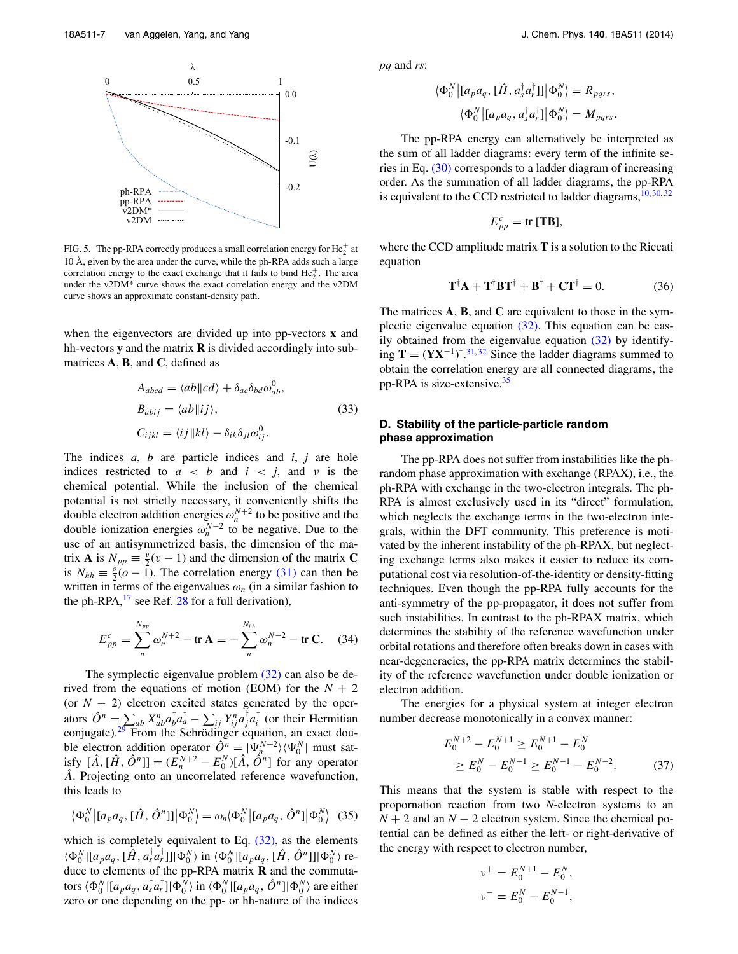<span id="page-6-0"></span>

FIG. 5. The pp-RPA correctly produces a small correlation energy for  $He_2^+$  at 10 Å, given by the area under the curve, while the ph-RPA adds such a large correlation energy to the exact exchange that it fails to bind  $He_2^+$ . The area under the v2DM\* curve shows the exact correlation energy and the v2DM curve shows an approximate constant-density path.

when the eigenvectors are divided up into pp-vectors **x** and hh-vectors **y** and the matrix **R** is divided accordingly into submatrices **A**, **B**, and **C**, defined as

$$
A_{abcd} = \langle ab \Vert cd \rangle + \delta_{ac} \delta_{bd} \omega_{ab}^0,
$$
  
\n
$$
B_{abij} = \langle ab \Vert ij \rangle,
$$
  
\n
$$
C_{ijkl} = \langle ij \Vert kl \rangle - \delta_{ik} \delta_{jl} \omega_{ij}^0.
$$
\n(33)

The indices *a*, *b* are particle indices and *i*, *j* are hole indices restricted to  $a < b$  and  $i < j$ , and  $v$  is the chemical potential. While the inclusion of the chemical potential is not strictly necessary, it conveniently shifts the double electron addition energies  $\omega_n^{N+2}$  to be positive and the double ionization energies  $\omega_n^{N-2}$  to be negative. Due to the use of an antisymmetrized basis, the dimension of the matrix **A** is  $N_{pp} \equiv \frac{v}{2}(v-1)$  and the dimension of the matrix **C** is  $N_{hh} \equiv \frac{\delta}{2} (o - 1)$ . The correlation energy [\(31\)](#page-5-2) can then be written in terms of the eigenvalues  $\omega_n$  (in a similar fashion to the ph-RPA, $^{17}$  $^{17}$  $^{17}$  see Ref. [28](#page-10-23) for a full derivation),

$$
E_{pp}^c = \sum_{n}^{N_{pp}} \omega_n^{N+2} - \text{tr}\,\mathbf{A} = -\sum_{n}^{N_{hh}} \omega_n^{N-2} - \text{tr}\,\mathbf{C}.\tag{34}
$$

The symplectic eigenvalue problem [\(32\)](#page-5-3) can also be derived from the equations of motion (EOM) for the  $N + 2$ (or *N* − 2) electron excited states generated by the operators  $\hat{O}^n = \sum_{ab} a^b X_{ab}^n a_a^\dagger a_a^\dagger - \sum_{ij} Y_{ij}^n a_j^\dagger a_i^\dagger$  (or their Hermitian conjugate).<sup>[29](#page-10-24)</sup> From the Schrödinger equation, an exact double electron addition operator  $\hat{O}^n = |\Psi_n^{N+2}\rangle \langle \Psi_0^N|$  must satisfy  $[\hat{A}, [\hat{H}, \hat{O}^n]] = (\bar{E}_n^{N+2} - E_0^N)[\hat{A}, \hat{O}^n]$  for any operator *A*ˆ. Projecting onto an uncorrelated reference wavefunction, this leads to

$$
\langle \Phi_0^N | [a_p a_q, [\hat{H}, \hat{O}^n]] | \Phi_0^N \rangle = \omega_n \langle \Phi_0^N | [a_p a_q, \hat{O}^n] | \Phi_0^N \rangle
$$
 (35)

which is completely equivalent to Eq.  $(32)$ , as the elements  $\langle \Phi_0^N | [a_p a_q, [\hat{H}, a_s^{\dagger} a_r^{\dagger}]] | \Phi_0^N \rangle$  in  $\langle \Phi_0^N | [a_p a_q, [\hat{H}, \hat{O}^n]] | \Phi_0^N \rangle$  reduce to elements of the pp-RPA matrix **R** and the commutators  $\langle \Phi_0^N | [a_p a_q, a_s^\dagger a_r^\dagger] | \Phi_0^N \rangle$  in  $\langle \Phi_0^N | [a_p a_q, \hat{O}^n] | \Phi_0^N \rangle$  are either zero or one depending on the pp- or hh-nature of the indices *pq* and *rs*:

$$
\langle \Phi_0^N | [a_p a_q, [\hat{H}, a_s^{\dagger} a_r^{\dagger}]] | \Phi_0^N \rangle = R_{pqrs},
$$
  

$$
\langle \Phi_0^N | [a_p a_q, a_s^{\dagger} a_r^{\dagger}] | \Phi_0^N \rangle = M_{pqrs}.
$$

The pp-RPA energy can alternatively be interpreted as the sum of all ladder diagrams: every term of the infinite series in Eq. [\(30\)](#page-5-4) corresponds to a ladder diagram of increasing order. As the summation of all ladder diagrams, the pp-RPA is equivalent to the CCD restricted to ladder diagrams,  $10, 30, 32$  $10, 30, 32$  $10, 30, 32$  $10, 30, 32$ 

<span id="page-6-5"></span>
$$
E_{pp}^c = \text{tr} [\mathbf{T}\mathbf{B}],
$$

where the CCD amplitude matrix **T** is a solution to the Riccati equation

$$
\mathbf{T}^{\dagger} \mathbf{A} + \mathbf{T}^{\dagger} \mathbf{B} \mathbf{T}^{\dagger} + \mathbf{B}^{\dagger} + \mathbf{C} \mathbf{T}^{\dagger} = 0. \tag{36}
$$

The matrices **A**, **B**, and **C** are equivalent to those in the symplectic eigenvalue equation [\(32\).](#page-5-3) This equation can be easily obtained from the eigenvalue equation  $(32)$  by identifying **T** =  $(YX^{-1})^{\dagger}$ .<sup>[31,](#page-10-35)[32](#page-10-26)</sup> Since the ladder diagrams summed to obtain the correlation energy are all connected diagrams, the pp-RPA is size-extensive.[35](#page-10-30)

# <span id="page-6-4"></span>**D. Stability of the particle-particle random phase approximation**

The pp-RPA does not suffer from instabilities like the phrandom phase approximation with exchange (RPAX), i.e., the ph-RPA with exchange in the two-electron integrals. The ph-RPA is almost exclusively used in its "direct" formulation, which neglects the exchange terms in the two-electron integrals, within the DFT community. This preference is motivated by the inherent instability of the ph-RPAX, but neglecting exchange terms also makes it easier to reduce its computational cost via resolution-of-the-identity or density-fitting techniques. Even though the pp-RPA fully accounts for the anti-symmetry of the pp-propagator, it does not suffer from such instabilities. In contrast to the ph-RPAX matrix, which determines the stability of the reference wavefunction under orbital rotations and therefore often breaks down in cases with near-degeneracies, the pp-RPA matrix determines the stability of the reference wavefunction under double ionization or electron addition.

<span id="page-6-2"></span>The energies for a physical system at integer electron number decrease monotonically in a convex manner:

<span id="page-6-1"></span>
$$
E_0^{N+2} - E_0^{N+1} \ge E_0^{N+1} - E_0^N
$$
  
\n
$$
\ge E_0^N - E_0^{N-1} \ge E_0^{N-1} - E_0^{N-2}.
$$
 (37)

<span id="page-6-3"></span>This means that the system is stable with respect to the propornation reaction from two *N*-electron systems to an  $N + 2$  and an  $N - 2$  electron system. Since the chemical potential can be defined as either the left- or right-derivative of the energy with respect to electron number,

$$
\nu^{+} = E_0^{N+1} - E_0^{N},
$$
  

$$
\nu^{-} = E_0^{N} - E_0^{N-1},
$$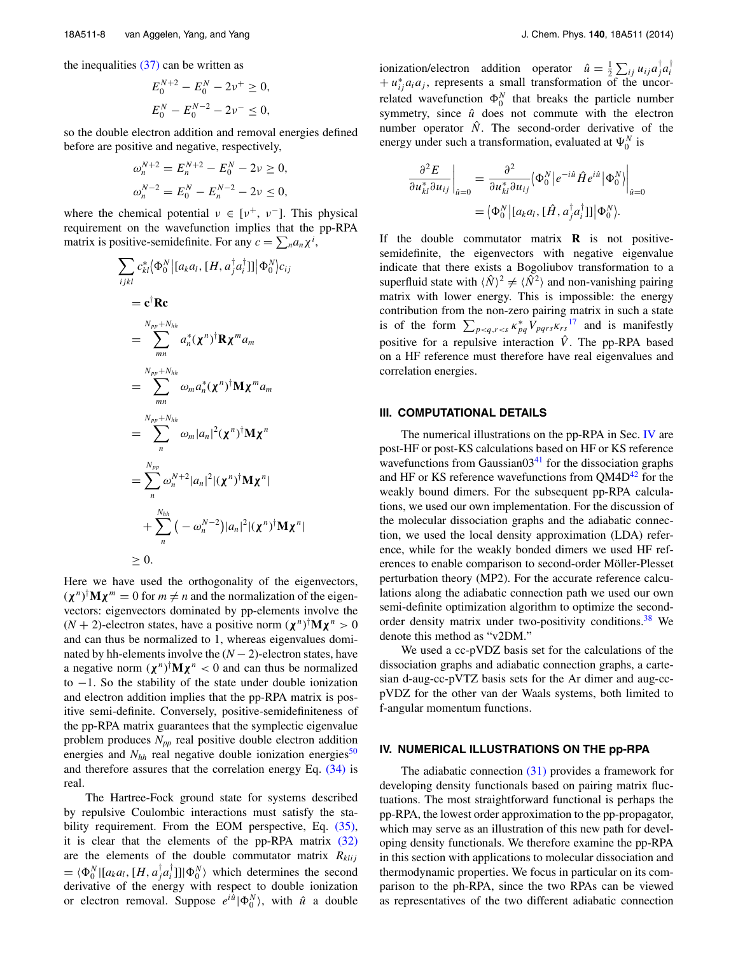the inequalities  $(37)$  can be written as

$$
E_0^{N+2} - E_0^N - 2\nu^+ \ge 0,
$$
  

$$
E_0^N - E_0^{N-2} - 2\nu^- \le 0,
$$

so the double electron addition and removal energies defined before are positive and negative, respectively,

$$
\omega_n^{N+2} = E_n^{N+2} - E_0^N - 2\nu \ge 0,
$$
  

$$
\omega_n^{N-2} = E_0^N - E_n^{N-2} - 2\nu \le 0,
$$

where the chemical potential  $v \in [v^+, v^-]$ . This physical requirement on the wavefunction implies that the pp-RPA matrix is positive-semidefinite. For any  $c = \sum_n a_n \chi^i$ ,

$$
\sum_{ijkl} c_{kl}^* \langle \Phi_0^N | [a_k a_l, [H, a_j^\dagger a_l^\dagger]] | \Phi_0^N \rangle c_{ij}
$$
\n
$$
= \mathbf{c}^\dagger \mathbf{R} \mathbf{c}
$$
\n
$$
= \sum_{mn}^{N_{pp} + N_{hh}} a_n^* (\mathbf{\chi}^n)^\dagger \mathbf{R} \mathbf{\chi}^m a_m
$$
\n
$$
= \sum_{mn}^{N_{pp} + N_{hh}} \omega_m a_n^* (\mathbf{\chi}^n)^\dagger \mathbf{M} \mathbf{\chi}^m a_m
$$
\n
$$
= \sum_{n}^{N_{pp} + N_{hh}} \omega_m |a_n|^2 (\mathbf{\chi}^n)^\dagger \mathbf{M} \mathbf{\chi}^n
$$
\n
$$
= \sum_{n}^{N_{pp}} \omega_n^{N+2} |a_n|^2 |(\mathbf{\chi}^n)^\dagger \mathbf{M} \mathbf{\chi}^n|
$$
\n
$$
+ \sum_{n}^{N_{hh}} (-\omega_n^{N-2}) |a_n|^2 |(\mathbf{\chi}^n)^\dagger \mathbf{M} \mathbf{\chi}^n|
$$
\n
$$
\geq 0.
$$

Here we have used the orthogonality of the eigenvectors,  $(\chi^n)^{\dagger} \mathbf{M} \chi^m = 0$  for  $m \neq n$  and the normalization of the eigenvectors: eigenvectors dominated by pp-elements involve the  $(N + 2)$ -electron states, have a positive norm  $(\chi^n)^{\dagger} M \chi^n > 0$ and can thus be normalized to 1, whereas eigenvalues dominated by hh-elements involve the  $(N - 2)$ -electron states, have a negative norm  $(\chi^n)^{\dagger} M \chi^n < 0$  and can thus be normalized to −1. So the stability of the state under double ionization and electron addition implies that the pp-RPA matrix is positive semi-definite. Conversely, positive-semidefiniteness of the pp-RPA matrix guarantees that the symplectic eigenvalue problem produces  $N_{pp}$  real positive double electron addition energies and  $N_{hh}$  real negative double ionization energies<sup>50</sup> and therefore assures that the correlation energy Eq. [\(34\)](#page-6-2) is real.

The Hartree-Fock ground state for systems described by repulsive Coulombic interactions must satisfy the sta-bility requirement. From the EOM perspective, Eq. [\(35\),](#page-6-3) it is clear that the elements of the pp-RPA matrix  $(32)$ are the elements of the double commutator matrix  $R_{klij}$  $= \langle \Phi_0^N | [a_k a_l, [H, a_j^{\dagger} a_l^{\dagger}]] | \Phi_0^N \rangle$  which determines the second derivative of the energy with respect to double ionization or electron removal. Suppose  $e^{i\hat{u}}|\Phi_0^N\rangle$ , with  $\hat{u}$  a double

ionization/electron addition operator  $\hat{u} = \frac{1}{2} \sum_{ij} u_{ij} a_j^{\dagger} a_i^{\dagger}$  $+ u_{ij}^* a_i a_j$ , represents a small transformation of the uncorrelated wavefunction  $\Phi_0^N$  that breaks the particle number symmetry, since  $\hat{u}$  does not commute with the electron number operator  $\hat{N}$ . The second-order derivative of the energy under such a transformation, evaluated at  $\Psi_0^N$  is

$$
\frac{\partial^2 E}{\partial u_{kl}^* \partial u_{ij}}\Big|_{\hat{u}=0} = \frac{\partial^2}{\partial u_{kl}^* \partial u_{ij}} \langle \Phi_0^N | e^{-i\hat{u}} \hat{H} e^{i\hat{u}} | \Phi_0^N \rangle \Big|_{\hat{u}=0}
$$

$$
= \langle \Phi_0^N | [a_k a_l, [\hat{H}, a_j^\dagger a_i^\dagger]] | \Phi_0^N \rangle.
$$

If the double commutator matrix **R** is not positivesemidefinite, the eigenvectors with negative eigenvalue indicate that there exists a Bogoliubov transformation to a superfluid state with  $\langle \hat{N} \rangle^2 \neq \langle \hat{N}^2 \rangle$  and non-vanishing pairing matrix with lower energy. This is impossible: the energy contribution from the non-zero pairing matrix in such a state is of the form  $\sum_{p < q, r < s} \kappa_{pq}^* V_{pqrs} \kappa_{rs}^{17}$  $\sum_{p < q, r < s} \kappa_{pq}^* V_{pqrs} \kappa_{rs}^{17}$  $\sum_{p < q, r < s} \kappa_{pq}^* V_{pqrs} \kappa_{rs}^{17}$  and is manifestly positive for a repulsive interaction  $\hat{V}$ . The pp-RPA based on a HF reference must therefore have real eigenvalues and correlation energies.

#### **III. COMPUTATIONAL DETAILS**

The numerical illustrations on the pp-RPA in Sec. [IV](#page-7-0) are post-HF or post-KS calculations based on HF or KS reference wavefunctions from Gaussian $03<sup>41</sup>$  for the dissociation graphs and HF or KS reference wavefunctions from  $QM4D<sup>42</sup>$  $QM4D<sup>42</sup>$  $QM4D<sup>42</sup>$  for the weakly bound dimers. For the subsequent pp-RPA calculations, we used our own implementation. For the discussion of the molecular dissociation graphs and the adiabatic connection, we used the local density approximation (LDA) reference, while for the weakly bonded dimers we used HF references to enable comparison to second-order Möller-Plesset perturbation theory (MP2). For the accurate reference calculations along the adiabatic connection path we used our own semi-definite optimization algorithm to optimize the secondorder density matrix under two-positivity conditions.<sup>38</sup> We denote this method as "v2DM."

We used a cc-pVDZ basis set for the calculations of the dissociation graphs and adiabatic connection graphs, a cartesian d-aug-cc-pVTZ basis sets for the Ar dimer and aug-ccpVDZ for the other van der Waals systems, both limited to f-angular momentum functions.

#### <span id="page-7-0"></span>**IV. NUMERICAL ILLUSTRATIONS ON THE pp-RPA**

The adiabatic connection  $(31)$  provides a framework for developing density functionals based on pairing matrix fluctuations. The most straightforward functional is perhaps the pp-RPA, the lowest order approximation to the pp-propagator, which may serve as an illustration of this new path for developing density functionals. We therefore examine the pp-RPA in this section with applications to molecular dissociation and thermodynamic properties. We focus in particular on its comparison to the ph-RPA, since the two RPAs can be viewed as representatives of the two different adiabatic connection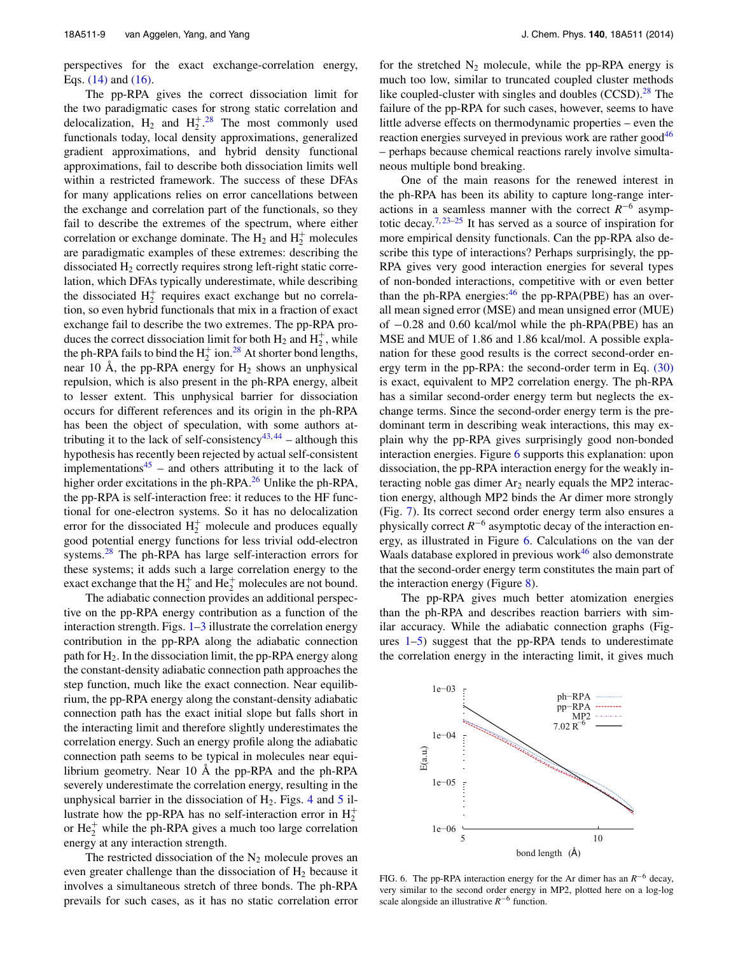perspectives for the exact exchange-correlation energy, Eqs. [\(14\)](#page-3-4) and [\(16\).](#page-3-3)

The pp-RPA gives the correct dissociation limit for the two paradigmatic cases for strong static correlation and delocalization,  $H_2$  and  $H_2^+$ .<sup>[28](#page-10-23)</sup> The most commonly used functionals today, local density approximations, generalized gradient approximations, and hybrid density functional approximations, fail to describe both dissociation limits well within a restricted framework. The success of these DFAs for many applications relies on error cancellations between the exchange and correlation part of the functionals, so they fail to describe the extremes of the spectrum, where either correlation or exchange dominate. The  $H_2$  and  $H_2^+$  molecules are paradigmatic examples of these extremes: describing the dissociated H<sub>2</sub> correctly requires strong left-right static correlation, which DFAs typically underestimate, while describing the dissociated  $H_2^+$  requires exact exchange but no correlation, so even hybrid functionals that mix in a fraction of exact exchange fail to describe the two extremes. The pp-RPA produces the correct dissociation limit for both  $H_2$  and  $H_2^+$ , while the ph-RPA fails to bind the  $H_2^+$  ion.<sup>[28](#page-10-23)</sup> At shorter bond lengths, near 10 Å, the pp-RPA energy for  $H_2$  shows an unphysical repulsion, which is also present in the ph-RPA energy, albeit to lesser extent. This unphysical barrier for dissociation occurs for different references and its origin in the ph-RPA has been the object of speculation, with some authors at-tributing it to the lack of self-consistency<sup>[43,](#page-10-39)[44](#page-10-40)</sup> – although this hypothesis has recently been rejected by actual self-consistent implementations<sup>[45](#page-10-41)</sup> – and others attributing it to the lack of higher order excitations in the ph-RPA. $^{26}$  $^{26}$  $^{26}$  Unlike the ph-RPA, the pp-RPA is self-interaction free: it reduces to the HF functional for one-electron systems. So it has no delocalization error for the dissociated  $H_2^+$  molecule and produces equally good potential energy functions for less trivial odd-electron systems.<sup>28</sup> The ph-RPA has large self-interaction errors for these systems; it adds such a large correlation energy to the exact exchange that the  $H_2^+$  and  $He_2^+$  molecules are not bound.

The adiabatic connection provides an additional perspective on the pp-RPA energy contribution as a function of the interaction strength. Figs.  $1-3$  $1-3$  illustrate the correlation energy contribution in the pp-RPA along the adiabatic connection path for  $H_2$ . In the dissociation limit, the pp-RPA energy along the constant-density adiabatic connection path approaches the step function, much like the exact connection. Near equilibrium, the pp-RPA energy along the constant-density adiabatic connection path has the exact initial slope but falls short in the interacting limit and therefore slightly underestimates the correlation energy. Such an energy profile along the adiabatic connection path seems to be typical in molecules near equilibrium geometry. Near 10 Å the pp-RPA and the ph-RPA severely underestimate the correlation energy, resulting in the unphysical barrier in the dissociation of  $H_2$ . Figs. [4](#page-5-6) and [5](#page-6-0) illustrate how the pp-RPA has no self-interaction error in  $H_2^+$ or  $He_2^+$  while the ph-RPA gives a much too large correlation energy at any interaction strength.

The restricted dissociation of the  $N_2$  molecule proves an even greater challenge than the dissociation of  $H_2$  because it involves a simultaneous stretch of three bonds. The ph-RPA prevails for such cases, as it has no static correlation error for the stretched  $N_2$  molecule, while the pp-RPA energy is much too low, similar to truncated coupled cluster methods like coupled-cluster with singles and doubles  $(CCSD)$ .<sup>28</sup> The failure of the pp-RPA for such cases, however, seems to have little adverse effects on thermodynamic properties – even the reaction energies surveyed in previous work are rather good $46$ – perhaps because chemical reactions rarely involve simultaneous multiple bond breaking.

One of the main reasons for the renewed interest in the ph-RPA has been its ability to capture long-range interactions in a seamless manner with the correct *R*−<sup>6</sup> asymp-totic decay.<sup>[7,](#page-10-5) [23](#page-10-19)[–25](#page-10-20)</sup> It has served as a source of inspiration for more empirical density functionals. Can the pp-RPA also describe this type of interactions? Perhaps surprisingly, the pp-RPA gives very good interaction energies for several types of non-bonded interactions, competitive with or even better than the ph-RPA energies: $46$  the pp-RPA(PBE) has an overall mean signed error (MSE) and mean unsigned error (MUE) of −0.28 and 0.60 kcal/mol while the ph-RPA(PBE) has an MSE and MUE of 1.86 and 1.86 kcal/mol. A possible explanation for these good results is the correct second-order energy term in the pp-RPA: the second-order term in Eq. [\(30\)](#page-5-4) is exact, equivalent to MP2 correlation energy. The ph-RPA has a similar second-order energy term but neglects the exchange terms. Since the second-order energy term is the predominant term in describing weak interactions, this may explain why the pp-RPA gives surprisingly good non-bonded interaction energies. Figure [6](#page-8-0) supports this explanation: upon dissociation, the pp-RPA interaction energy for the weakly interacting noble gas dimer  $Ar_2$  nearly equals the MP2 interaction energy, although MP2 binds the Ar dimer more strongly (Fig. [7\)](#page-9-0). Its correct second order energy term also ensures a physically correct *R*−<sup>6</sup> asymptotic decay of the interaction energy, as illustrated in Figure [6.](#page-8-0) Calculations on the van der Waals database explored in previous work<sup>46</sup> also demonstrate that the second-order energy term constitutes the main part of the interaction energy (Figure [8\)](#page-9-1).

The pp-RPA gives much better atomization energies than the ph-RPA and describes reaction barriers with similar accuracy. While the adiabatic connection graphs (Figures  $1-5$  $1-5$ ) suggest that the pp-RPA tends to underestimate the correlation energy in the interacting limit, it gives much

<span id="page-8-0"></span>

FIG. 6. The pp-RPA interaction energy for the Ar dimer has an *R*−<sup>6</sup> decay, very similar to the second order energy in MP2, plotted here on a log-log scale alongside an illustrative *R*−<sup>6</sup> function.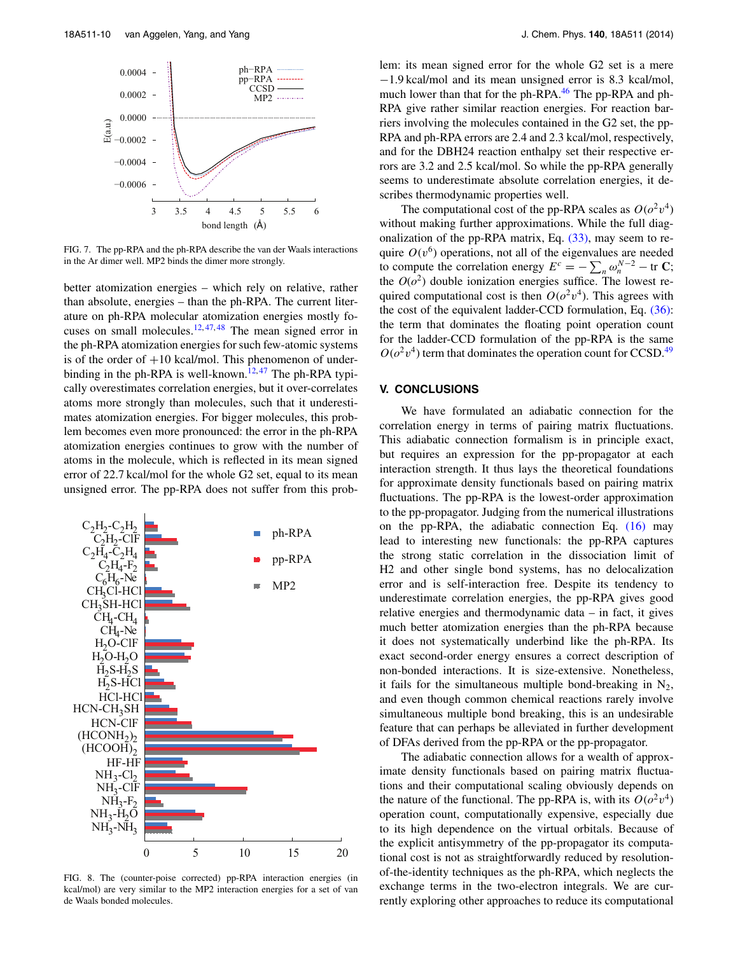<span id="page-9-0"></span>

FIG. 7. The pp-RPA and the ph-RPA describe the van der Waals interactions in the Ar dimer well. MP2 binds the dimer more strongly.

better atomization energies – which rely on relative, rather than absolute, energies – than the ph-RPA. The current literature on ph-RPA molecular atomization energies mostly focuses on small molecules. $12, 47, 48$  $12, 47, 48$  $12, 47, 48$  $12, 47, 48$  $12, 47, 48$  The mean signed error in the ph-RPA atomization energies for such few-atomic systems is of the order of  $+10$  kcal/mol. This phenomenon of under-binding in the ph-RPA is well-known.<sup>[12,](#page-10-8)[47](#page-10-43)</sup> The ph-RPA typically overestimates correlation energies, but it over-correlates atoms more strongly than molecules, such that it underestimates atomization energies. For bigger molecules, this problem becomes even more pronounced: the error in the ph-RPA atomization energies continues to grow with the number of atoms in the molecule, which is reflected in its mean signed error of 22.7 kcal/mol for the whole G2 set, equal to its mean unsigned error. The pp-RPA does not suffer from this prob-

<span id="page-9-1"></span>

FIG. 8. The (counter-poise corrected) pp-RPA interaction energies (in kcal/mol) are very similar to the MP2 interaction energies for a set of van de Waals bonded molecules.

lem: its mean signed error for the whole G2 set is a mere −1.9 kcal/mol and its mean unsigned error is 8.3 kcal/mol, much lower than that for the ph-RPA.<sup>46</sup> The pp-RPA and ph-RPA give rather similar reaction energies. For reaction barriers involving the molecules contained in the G2 set, the pp-RPA and ph-RPA errors are 2.4 and 2.3 kcal/mol, respectively, and for the DBH24 reaction enthalpy set their respective errors are 3.2 and 2.5 kcal/mol. So while the pp-RPA generally seems to underestimate absolute correlation energies, it describes thermodynamic properties well.

The computational cost of the pp-RPA scales as  $O(\sigma^2 v^4)$ without making further approximations. While the full diagonalization of the pp-RPA matrix, Eq. [\(33\),](#page-6-4) may seem to require  $O(v^6)$  operations, not all of the eigenvalues are needed to compute the correlation energy  $E^c = -\sum_n \omega_n^{N-2} - \text{tr } \mathbf{C}$ ; the  $O(o^2)$  double ionization energies suffice. The lowest required computational cost is then  $O(\sigma^2 v^4)$ . This agrees with the cost of the equivalent ladder-CCD formulation, Eq. [\(36\):](#page-6-5) the term that dominates the floating point operation count for the ladder-CCD formulation of the pp-RPA is the same  $O(\rho^2 v^4)$  term that dominates the operation count for CCSD.<sup>49</sup>

#### **V. CONCLUSIONS**

We have formulated an adiabatic connection for the correlation energy in terms of pairing matrix fluctuations. This adiabatic connection formalism is in principle exact, but requires an expression for the pp-propagator at each interaction strength. It thus lays the theoretical foundations for approximate density functionals based on pairing matrix fluctuations. The pp-RPA is the lowest-order approximation to the pp-propagator. Judging from the numerical illustrations on the pp-RPA, the adiabatic connection Eq. [\(16\)](#page-3-3) may lead to interesting new functionals: the pp-RPA captures the strong static correlation in the dissociation limit of H2 and other single bond systems, has no delocalization error and is self-interaction free. Despite its tendency to underestimate correlation energies, the pp-RPA gives good relative energies and thermodynamic data – in fact, it gives much better atomization energies than the ph-RPA because it does not systematically underbind like the ph-RPA. Its exact second-order energy ensures a correct description of non-bonded interactions. It is size-extensive. Nonetheless, it fails for the simultaneous multiple bond-breaking in  $N_2$ , and even though common chemical reactions rarely involve simultaneous multiple bond breaking, this is an undesirable feature that can perhaps be alleviated in further development of DFAs derived from the pp-RPA or the pp-propagator.

The adiabatic connection allows for a wealth of approximate density functionals based on pairing matrix fluctuations and their computational scaling obviously depends on the nature of the functional. The pp-RPA is, with its  $O(\rho^2 v^4)$ operation count, computationally expensive, especially due to its high dependence on the virtual orbitals. Because of the explicit antisymmetry of the pp-propagator its computational cost is not as straightforwardly reduced by resolutionof-the-identity techniques as the ph-RPA, which neglects the exchange terms in the two-electron integrals. We are currently exploring other approaches to reduce its computational